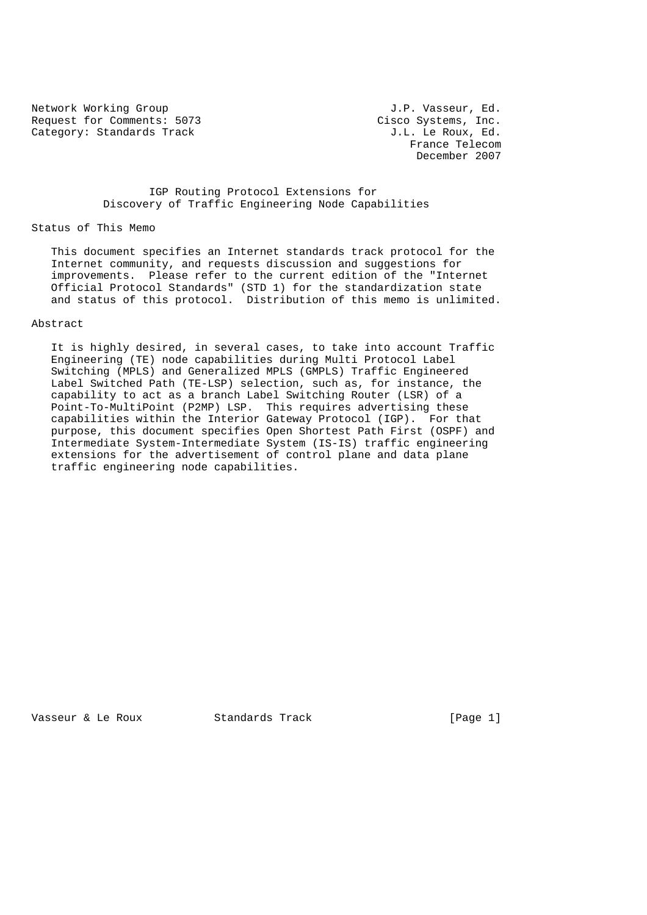Network Working Group 3.1 and 1.9 and 1.9 and 1.9 and 1.9 and 1.9 and 1.9 and 1.9 and 1.9 and 1.9 and 1.9 and 1 Request for Comments: 5073 Cisco Systems, Inc.<br>Category: Standards Track Category: Standards Track density of the Roux, Ed. Category: Standards Track

 France Telecom December 2007

# IGP Routing Protocol Extensions for Discovery of Traffic Engineering Node Capabilities

## Status of This Memo

 This document specifies an Internet standards track protocol for the Internet community, and requests discussion and suggestions for improvements. Please refer to the current edition of the "Internet Official Protocol Standards" (STD 1) for the standardization state and status of this protocol. Distribution of this memo is unlimited.

## Abstract

 It is highly desired, in several cases, to take into account Traffic Engineering (TE) node capabilities during Multi Protocol Label Switching (MPLS) and Generalized MPLS (GMPLS) Traffic Engineered Label Switched Path (TE-LSP) selection, such as, for instance, the capability to act as a branch Label Switching Router (LSR) of a Point-To-MultiPoint (P2MP) LSP. This requires advertising these capabilities within the Interior Gateway Protocol (IGP). For that purpose, this document specifies Open Shortest Path First (OSPF) and Intermediate System-Intermediate System (IS-IS) traffic engineering extensions for the advertisement of control plane and data plane traffic engineering node capabilities.

Vasseur & Le Roux Standards Track [Page 1]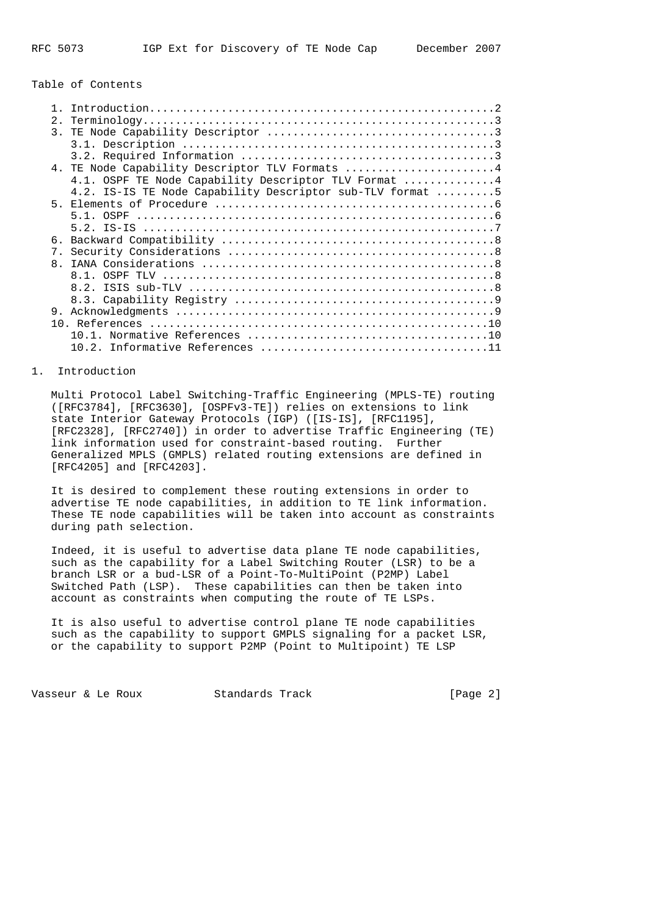# Table of Contents

| 2.             |                                                           |
|----------------|-----------------------------------------------------------|
| $\mathcal{E}$  |                                                           |
|                |                                                           |
|                |                                                           |
|                | 4. TE Node Capability Descriptor TLV Formats 4            |
|                | 4.1. OSPF TE Node Capability Descriptor TLV Format 4      |
|                | 4.2. IS-IS TE Node Capability Descriptor sub-TLV format 5 |
|                |                                                           |
|                | $5.1.$ OSPF                                               |
|                |                                                           |
| б.             |                                                           |
| $7_{\odot}$    |                                                           |
| 8 <sub>1</sub> |                                                           |
|                | 81                                                        |
|                | 82                                                        |
|                |                                                           |
| 9.             |                                                           |
|                |                                                           |
|                |                                                           |
|                | 10 2 I                                                    |

# 1. Introduction

 Multi Protocol Label Switching-Traffic Engineering (MPLS-TE) routing ([RFC3784], [RFC3630], [OSPFv3-TE]) relies on extensions to link state Interior Gateway Protocols (IGP) ([IS-IS], [RFC1195], [RFC2328], [RFC2740]) in order to advertise Traffic Engineering (TE) link information used for constraint-based routing. Further Generalized MPLS (GMPLS) related routing extensions are defined in [RFC4205] and [RFC4203].

 It is desired to complement these routing extensions in order to advertise TE node capabilities, in addition to TE link information. These TE node capabilities will be taken into account as constraints during path selection.

 Indeed, it is useful to advertise data plane TE node capabilities, such as the capability for a Label Switching Router (LSR) to be a branch LSR or a bud-LSR of a Point-To-MultiPoint (P2MP) Label Switched Path (LSP). These capabilities can then be taken into account as constraints when computing the route of TE LSPs.

 It is also useful to advertise control plane TE node capabilities such as the capability to support GMPLS signaling for a packet LSR, or the capability to support P2MP (Point to Multipoint) TE LSP

Vasseur & Le Roux Standards Track [Page 2]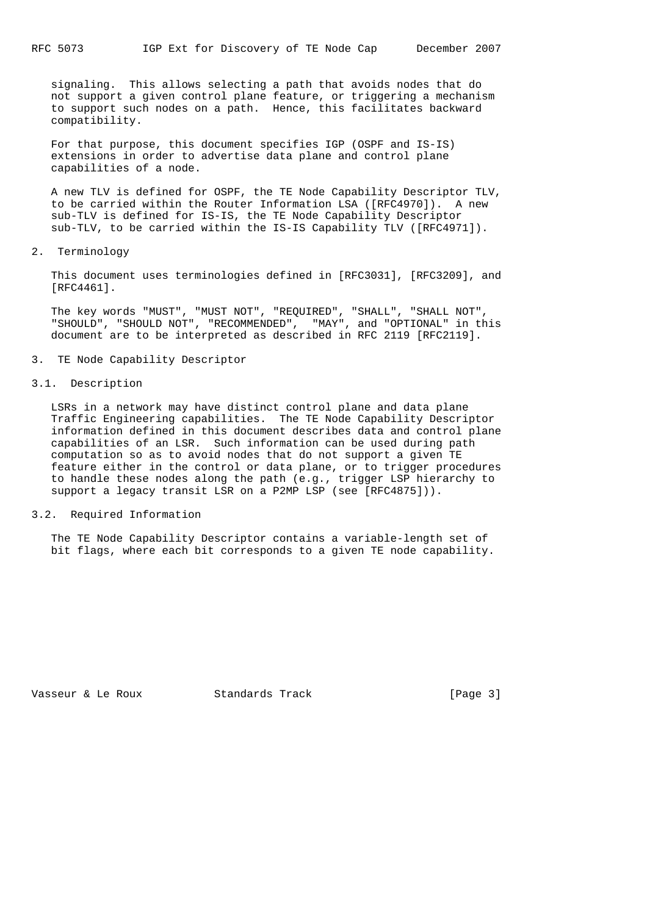signaling. This allows selecting a path that avoids nodes that do not support a given control plane feature, or triggering a mechanism to support such nodes on a path. Hence, this facilitates backward compatibility.

 For that purpose, this document specifies IGP (OSPF and IS-IS) extensions in order to advertise data plane and control plane capabilities of a node.

 A new TLV is defined for OSPF, the TE Node Capability Descriptor TLV, to be carried within the Router Information LSA ([RFC4970]). A new sub-TLV is defined for IS-IS, the TE Node Capability Descriptor sub-TLV, to be carried within the IS-IS Capability TLV ([RFC4971]).

2. Terminology

 This document uses terminologies defined in [RFC3031], [RFC3209], and [RFC4461].

 The key words "MUST", "MUST NOT", "REQUIRED", "SHALL", "SHALL NOT", "SHOULD", "SHOULD NOT", "RECOMMENDED", "MAY", and "OPTIONAL" in this document are to be interpreted as described in RFC 2119 [RFC2119].

#### 3. TE Node Capability Descriptor

#### 3.1. Description

 LSRs in a network may have distinct control plane and data plane Traffic Engineering capabilities. The TE Node Capability Descriptor information defined in this document describes data and control plane capabilities of an LSR. Such information can be used during path computation so as to avoid nodes that do not support a given TE feature either in the control or data plane, or to trigger procedures to handle these nodes along the path (e.g., trigger LSP hierarchy to support a legacy transit LSR on a P2MP LSP (see [RFC4875])).

#### 3.2. Required Information

 The TE Node Capability Descriptor contains a variable-length set of bit flags, where each bit corresponds to a given TE node capability.

Vasseur & Le Roux Standards Track [Page 3]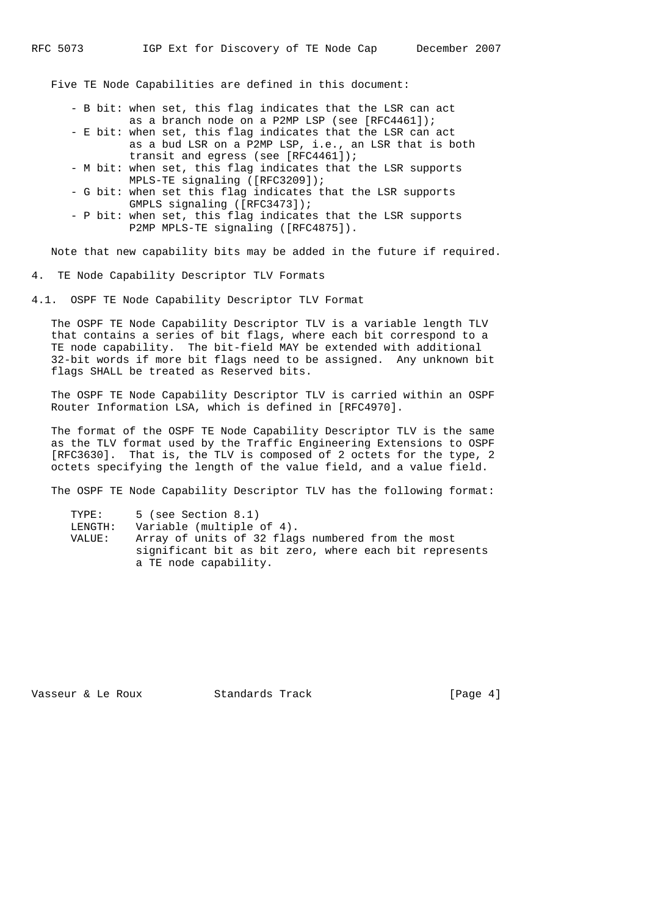Five TE Node Capabilities are defined in this document:

- B bit: when set, this flag indicates that the LSR can act as a branch node on a P2MP LSP (see [RFC4461]);
- E bit: when set, this flag indicates that the LSR can act as a bud LSR on a P2MP LSP, i.e., an LSR that is both transit and egress (see [RFC4461]);
- M bit: when set, this flag indicates that the LSR supports MPLS-TE signaling ([RFC3209]);
- G bit: when set this flag indicates that the LSR supports GMPLS signaling ([RFC3473]);
- P bit: when set, this flag indicates that the LSR supports P2MP MPLS-TE signaling ([RFC4875]).

Note that new capability bits may be added in the future if required.

4. TE Node Capability Descriptor TLV Formats

4.1. OSPF TE Node Capability Descriptor TLV Format

 The OSPF TE Node Capability Descriptor TLV is a variable length TLV that contains a series of bit flags, where each bit correspond to a TE node capability. The bit-field MAY be extended with additional 32-bit words if more bit flags need to be assigned. Any unknown bit flags SHALL be treated as Reserved bits.

 The OSPF TE Node Capability Descriptor TLV is carried within an OSPF Router Information LSA, which is defined in [RFC4970].

 The format of the OSPF TE Node Capability Descriptor TLV is the same as the TLV format used by the Traffic Engineering Extensions to OSPF [RFC3630]. That is, the TLV is composed of 2 octets for the type, 2 octets specifying the length of the value field, and a value field.

The OSPF TE Node Capability Descriptor TLV has the following format:

| TYPE:   | 5 (see Section 8.1)                                    |
|---------|--------------------------------------------------------|
| LENGTH: | Variable (multiple of 4).                              |
| VALUE:  | Array of units of 32 flags numbered from the most      |
|         | significant bit as bit zero, where each bit represents |
|         | a TE node capability.                                  |

Vasseur & Le Roux Standards Track [Page 4]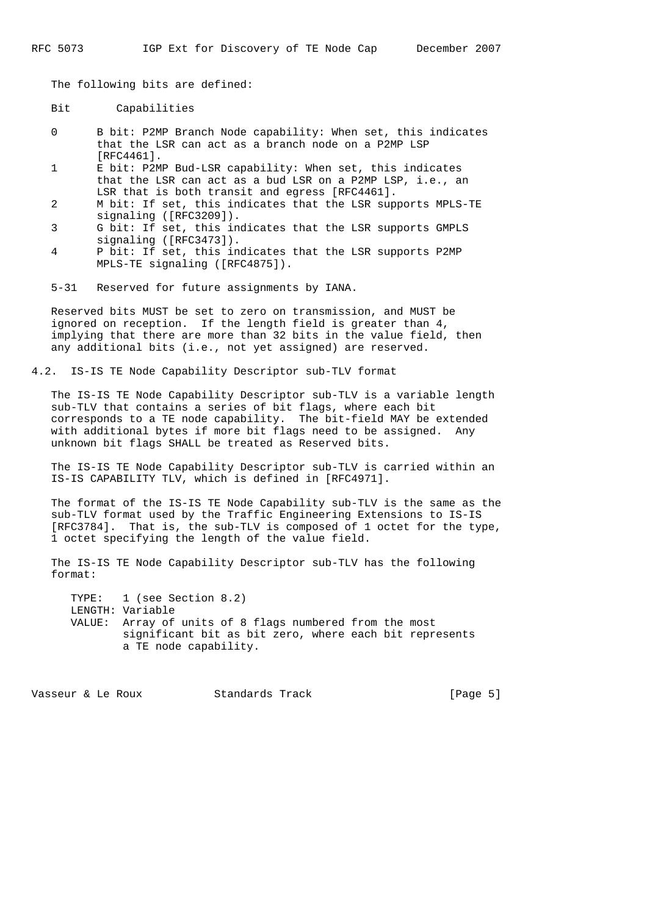The following bits are defined:

Bit Capabilities

- 0 B bit: P2MP Branch Node capability: When set, this indicates that the LSR can act as a branch node on a P2MP LSP [RFC4461].
- 1 E bit: P2MP Bud-LSR capability: When set, this indicates that the LSR can act as a bud LSR on a P2MP LSP, i.e., an LSR that is both transit and egress [RFC4461].
- 2 M bit: If set, this indicates that the LSR supports MPLS-TE signaling ([RFC3209]).
- 3 G bit: If set, this indicates that the LSR supports GMPLS signaling ([RFC3473]).
- 4 P bit: If set, this indicates that the LSR supports P2MP MPLS-TE signaling ([RFC4875]).

5-31 Reserved for future assignments by IANA.

 Reserved bits MUST be set to zero on transmission, and MUST be ignored on reception. If the length field is greater than 4, implying that there are more than 32 bits in the value field, then any additional bits (i.e., not yet assigned) are reserved.

4.2. IS-IS TE Node Capability Descriptor sub-TLV format

 The IS-IS TE Node Capability Descriptor sub-TLV is a variable length sub-TLV that contains a series of bit flags, where each bit corresponds to a TE node capability. The bit-field MAY be extended with additional bytes if more bit flags need to be assigned. Any unknown bit flags SHALL be treated as Reserved bits.

 The IS-IS TE Node Capability Descriptor sub-TLV is carried within an IS-IS CAPABILITY TLV, which is defined in [RFC4971].

 The format of the IS-IS TE Node Capability sub-TLV is the same as the sub-TLV format used by the Traffic Engineering Extensions to IS-IS [RFC3784]. That is, the sub-TLV is composed of 1 octet for the type, 1 octet specifying the length of the value field.

 The IS-IS TE Node Capability Descriptor sub-TLV has the following format:

 TYPE: 1 (see Section 8.2) LENGTH: Variable VALUE: Array of units of 8 flags numbered from the most significant bit as bit zero, where each bit represents a TE node capability.

Vasseur & Le Roux Standards Track [Page 5]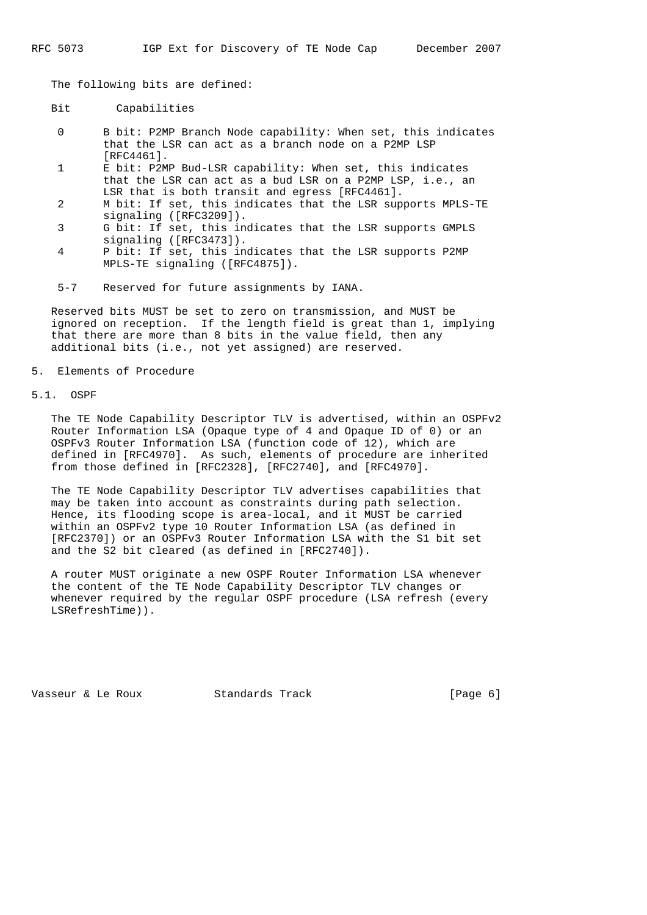The following bits are defined:

- Bit Capabilities
- 0 B bit: P2MP Branch Node capability: When set, this indicates that the LSR can act as a branch node on a P2MP LSP [RFC4461].
- 1 E bit: P2MP Bud-LSR capability: When set, this indicates that the LSR can act as a bud LSR on a P2MP LSP, i.e., an LSR that is both transit and egress [RFC4461].
- 2 M bit: If set, this indicates that the LSR supports MPLS-TE signaling ([RFC3209]).
- 3 G bit: If set, this indicates that the LSR supports GMPLS signaling ([RFC3473]).
- 4 P bit: If set, this indicates that the LSR supports P2MP MPLS-TE signaling ([RFC4875]).
- 5-7 Reserved for future assignments by IANA.

 Reserved bits MUST be set to zero on transmission, and MUST be ignored on reception. If the length field is great than 1, implying that there are more than 8 bits in the value field, then any additional bits (i.e., not yet assigned) are reserved.

#### 5. Elements of Procedure

# 5.1. OSPF

 The TE Node Capability Descriptor TLV is advertised, within an OSPFv2 Router Information LSA (Opaque type of 4 and Opaque ID of 0) or an OSPFv3 Router Information LSA (function code of 12), which are defined in [RFC4970]. As such, elements of procedure are inherited from those defined in [RFC2328], [RFC2740], and [RFC4970].

 The TE Node Capability Descriptor TLV advertises capabilities that may be taken into account as constraints during path selection. Hence, its flooding scope is area-local, and it MUST be carried within an OSPFv2 type 10 Router Information LSA (as defined in [RFC2370]) or an OSPFv3 Router Information LSA with the S1 bit set and the S2 bit cleared (as defined in [RFC2740]).

 A router MUST originate a new OSPF Router Information LSA whenever the content of the TE Node Capability Descriptor TLV changes or whenever required by the regular OSPF procedure (LSA refresh (every LSRefreshTime)).

Vasseur & Le Roux Standards Track [Page 6]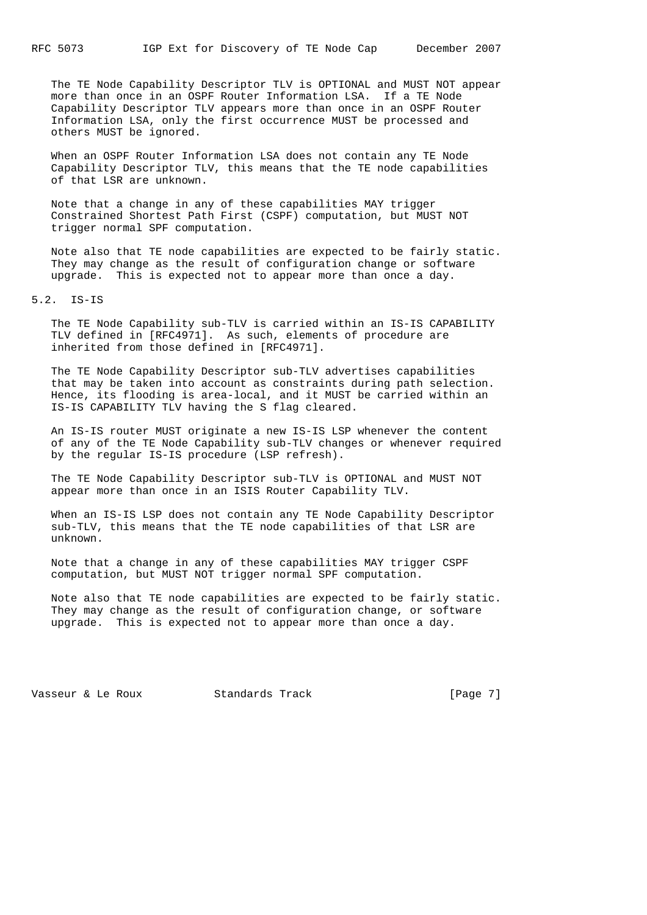The TE Node Capability Descriptor TLV is OPTIONAL and MUST NOT appear more than once in an OSPF Router Information LSA. If a TE Node Capability Descriptor TLV appears more than once in an OSPF Router Information LSA, only the first occurrence MUST be processed and others MUST be ignored.

 When an OSPF Router Information LSA does not contain any TE Node Capability Descriptor TLV, this means that the TE node capabilities of that LSR are unknown.

 Note that a change in any of these capabilities MAY trigger Constrained Shortest Path First (CSPF) computation, but MUST NOT trigger normal SPF computation.

 Note also that TE node capabilities are expected to be fairly static. They may change as the result of configuration change or software upgrade. This is expected not to appear more than once a day.

#### 5.2. IS-IS

 The TE Node Capability sub-TLV is carried within an IS-IS CAPABILITY TLV defined in [RFC4971]. As such, elements of procedure are inherited from those defined in [RFC4971].

 The TE Node Capability Descriptor sub-TLV advertises capabilities that may be taken into account as constraints during path selection. Hence, its flooding is area-local, and it MUST be carried within an IS-IS CAPABILITY TLV having the S flag cleared.

 An IS-IS router MUST originate a new IS-IS LSP whenever the content of any of the TE Node Capability sub-TLV changes or whenever required by the regular IS-IS procedure (LSP refresh).

 The TE Node Capability Descriptor sub-TLV is OPTIONAL and MUST NOT appear more than once in an ISIS Router Capability TLV.

 When an IS-IS LSP does not contain any TE Node Capability Descriptor sub-TLV, this means that the TE node capabilities of that LSR are unknown.

 Note that a change in any of these capabilities MAY trigger CSPF computation, but MUST NOT trigger normal SPF computation.

 Note also that TE node capabilities are expected to be fairly static. They may change as the result of configuration change, or software upgrade. This is expected not to appear more than once a day.

Vasseur & Le Roux Standards Track [Page 7]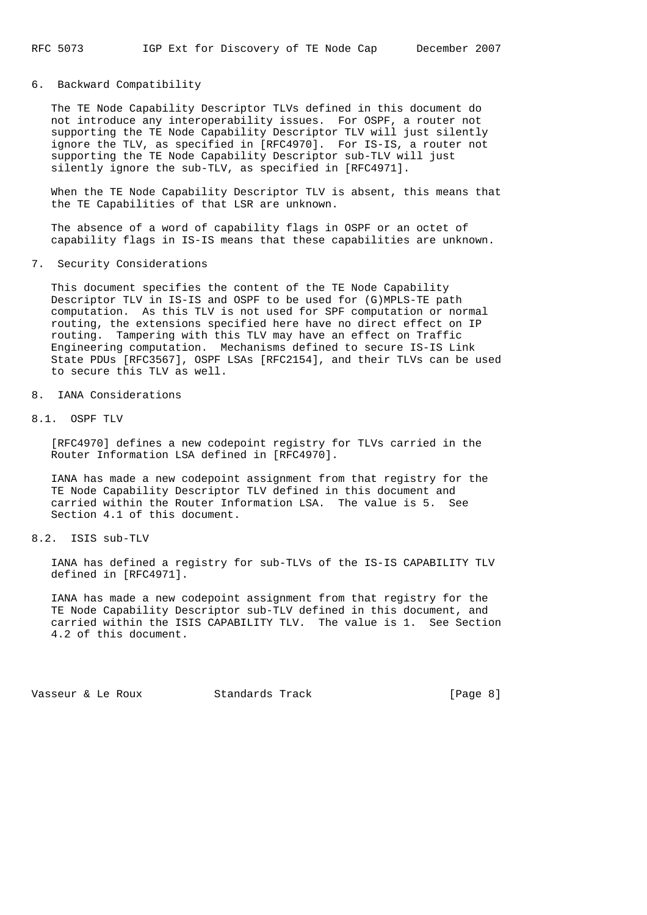## 6. Backward Compatibility

 The TE Node Capability Descriptor TLVs defined in this document do not introduce any interoperability issues. For OSPF, a router not supporting the TE Node Capability Descriptor TLV will just silently ignore the TLV, as specified in [RFC4970]. For IS-IS, a router not supporting the TE Node Capability Descriptor sub-TLV will just silently ignore the sub-TLV, as specified in [RFC4971].

 When the TE Node Capability Descriptor TLV is absent, this means that the TE Capabilities of that LSR are unknown.

 The absence of a word of capability flags in OSPF or an octet of capability flags in IS-IS means that these capabilities are unknown.

7. Security Considerations

 This document specifies the content of the TE Node Capability Descriptor TLV in IS-IS and OSPF to be used for (G)MPLS-TE path computation. As this TLV is not used for SPF computation or normal routing, the extensions specified here have no direct effect on IP routing. Tampering with this TLV may have an effect on Traffic Engineering computation. Mechanisms defined to secure IS-IS Link State PDUs [RFC3567], OSPF LSAs [RFC2154], and their TLVs can be used to secure this TLV as well.

- 8. IANA Considerations
- 8.1. OSPF TLV

 [RFC4970] defines a new codepoint registry for TLVs carried in the Router Information LSA defined in [RFC4970].

 IANA has made a new codepoint assignment from that registry for the TE Node Capability Descriptor TLV defined in this document and carried within the Router Information LSA. The value is 5. See Section 4.1 of this document.

8.2. ISIS sub-TLV

 IANA has defined a registry for sub-TLVs of the IS-IS CAPABILITY TLV defined in [RFC4971].

 IANA has made a new codepoint assignment from that registry for the TE Node Capability Descriptor sub-TLV defined in this document, and carried within the ISIS CAPABILITY TLV. The value is 1. See Section 4.2 of this document.

Vasseur & Le Roux Standards Track [Page 8]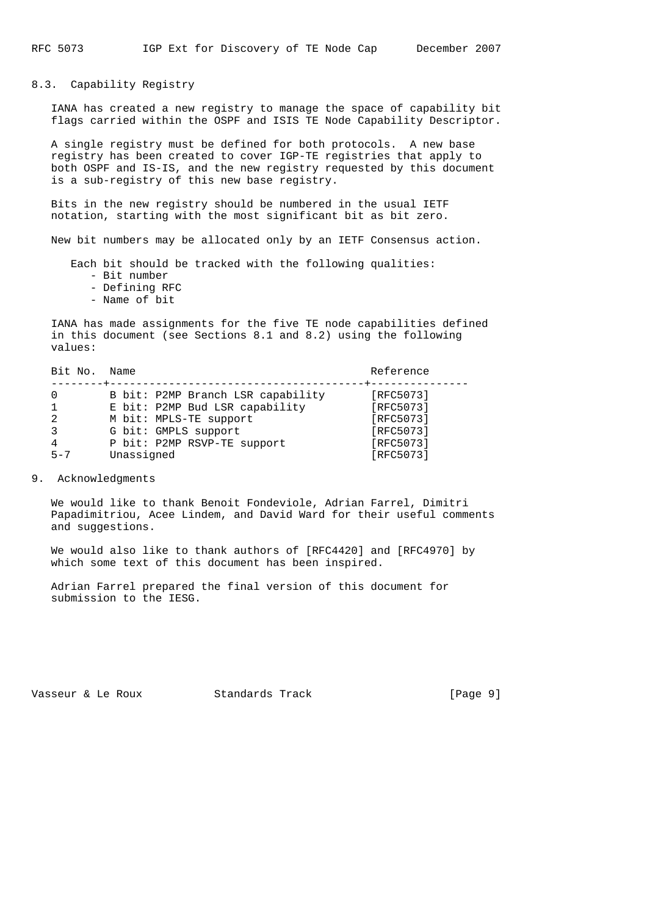8.3. Capability Registry

 IANA has created a new registry to manage the space of capability bit flags carried within the OSPF and ISIS TE Node Capability Descriptor.

 A single registry must be defined for both protocols. A new base registry has been created to cover IGP-TE registries that apply to both OSPF and IS-IS, and the new registry requested by this document is a sub-registry of this new base registry.

 Bits in the new registry should be numbered in the usual IETF notation, starting with the most significant bit as bit zero.

New bit numbers may be allocated only by an IETF Consensus action.

Each bit should be tracked with the following qualities:

- Bit number
- Defining RFC
- Name of bit

 IANA has made assignments for the five TE node capabilities defined in this document (see Sections 8.1 and 8.2) using the following values:

| Bit No.        | Name                              | Reference |
|----------------|-----------------------------------|-----------|
|                | B bit: P2MP Branch LSR capability | [RFC5073] |
|                | E bit: P2MP Bud LSR capability    | [RFC5073] |
| $\mathfrak{D}$ | M bit: MPLS-TE support            | [RFC5073] |
| 3              | G bit: GMPLS support              | [RFC5073] |
| 4              | P bit: P2MP RSVP-TE support       | [RFC5073] |
| $5 - 7$        | Unassigned                        | [RFC5073] |

9. Acknowledgments

 We would like to thank Benoit Fondeviole, Adrian Farrel, Dimitri Papadimitriou, Acee Lindem, and David Ward for their useful comments and suggestions.

 We would also like to thank authors of [RFC4420] and [RFC4970] by which some text of this document has been inspired.

 Adrian Farrel prepared the final version of this document for submission to the IESG.

Vasseur & Le Roux Standards Track [Page 9]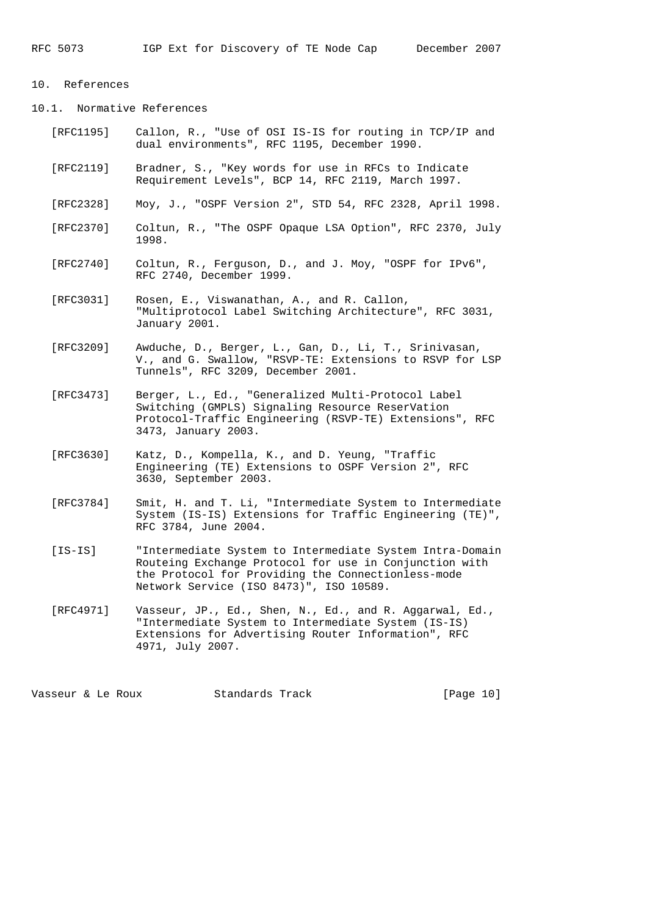# 10. References

10.1. Normative References

- [RFC1195] Callon, R., "Use of OSI IS-IS for routing in TCP/IP and dual environments", RFC 1195, December 1990.
- [RFC2119] Bradner, S., "Key words for use in RFCs to Indicate Requirement Levels", BCP 14, RFC 2119, March 1997.
- [RFC2328] Moy, J., "OSPF Version 2", STD 54, RFC 2328, April 1998.
- [RFC2370] Coltun, R., "The OSPF Opaque LSA Option", RFC 2370, July 1998.
- [RFC2740] Coltun, R., Ferguson, D., and J. Moy, "OSPF for IPv6", RFC 2740, December 1999.
- [RFC3031] Rosen, E., Viswanathan, A., and R. Callon, "Multiprotocol Label Switching Architecture", RFC 3031, January 2001.
- [RFC3209] Awduche, D., Berger, L., Gan, D., Li, T., Srinivasan, V., and G. Swallow, "RSVP-TE: Extensions to RSVP for LSP Tunnels", RFC 3209, December 2001.
	- [RFC3473] Berger, L., Ed., "Generalized Multi-Protocol Label Switching (GMPLS) Signaling Resource ReserVation Protocol-Traffic Engineering (RSVP-TE) Extensions", RFC 3473, January 2003.
	- [RFC3630] Katz, D., Kompella, K., and D. Yeung, "Traffic Engineering (TE) Extensions to OSPF Version 2", RFC 3630, September 2003.
	- [RFC3784] Smit, H. and T. Li, "Intermediate System to Intermediate System (IS-IS) Extensions for Traffic Engineering (TE)", RFC 3784, June 2004.
	- [IS-IS] "Intermediate System to Intermediate System Intra-Domain Routeing Exchange Protocol for use in Conjunction with the Protocol for Providing the Connectionless-mode Network Service (ISO 8473)", ISO 10589.
	- [RFC4971] Vasseur, JP., Ed., Shen, N., Ed., and R. Aggarwal, Ed., "Intermediate System to Intermediate System (IS-IS) Extensions for Advertising Router Information", RFC 4971, July 2007.

Vasseur & Le Roux Standards Track [Page 10]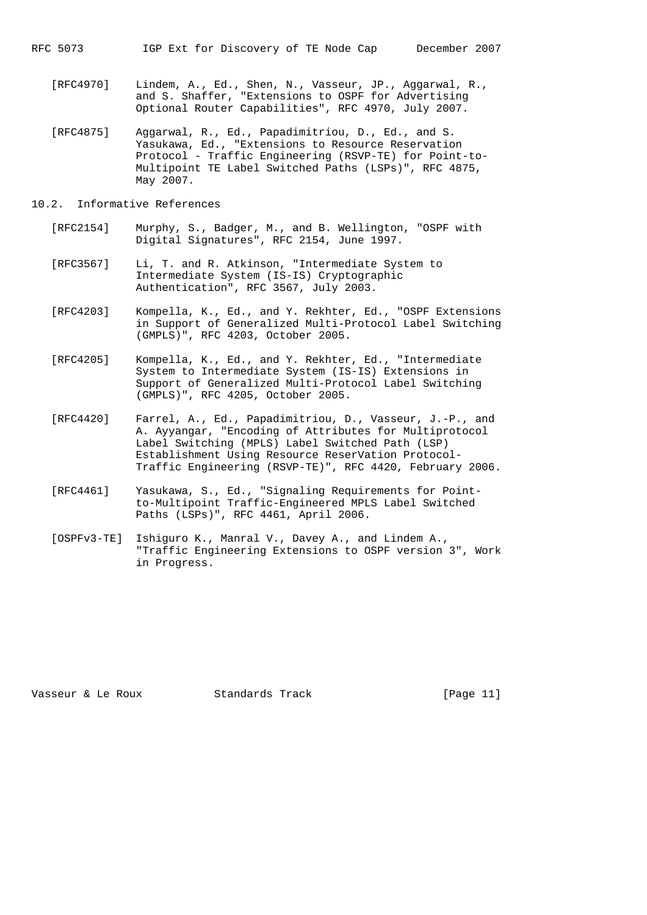- [RFC4970] Lindem, A., Ed., Shen, N., Vasseur, JP., Aggarwal, R., and S. Shaffer, "Extensions to OSPF for Advertising Optional Router Capabilities", RFC 4970, July 2007.
- [RFC4875] Aggarwal, R., Ed., Papadimitriou, D., Ed., and S. Yasukawa, Ed., "Extensions to Resource Reservation Protocol - Traffic Engineering (RSVP-TE) for Point-to- Multipoint TE Label Switched Paths (LSPs)", RFC 4875, May 2007.
- 10.2. Informative References
	- [RFC2154] Murphy, S., Badger, M., and B. Wellington, "OSPF with Digital Signatures", RFC 2154, June 1997.
	- [RFC3567] Li, T. and R. Atkinson, "Intermediate System to Intermediate System (IS-IS) Cryptographic Authentication", RFC 3567, July 2003.
	- [RFC4203] Kompella, K., Ed., and Y. Rekhter, Ed., "OSPF Extensions in Support of Generalized Multi-Protocol Label Switching (GMPLS)", RFC 4203, October 2005.
	- [RFC4205] Kompella, K., Ed., and Y. Rekhter, Ed., "Intermediate System to Intermediate System (IS-IS) Extensions in Support of Generalized Multi-Protocol Label Switching (GMPLS)", RFC 4205, October 2005.
	- [RFC4420] Farrel, A., Ed., Papadimitriou, D., Vasseur, J.-P., and A. Ayyangar, "Encoding of Attributes for Multiprotocol Label Switching (MPLS) Label Switched Path (LSP) Establishment Using Resource ReserVation Protocol- Traffic Engineering (RSVP-TE)", RFC 4420, February 2006.
	- [RFC4461] Yasukawa, S., Ed., "Signaling Requirements for Point to-Multipoint Traffic-Engineered MPLS Label Switched Paths (LSPs)", RFC 4461, April 2006.
	- [OSPFv3-TE] Ishiguro K., Manral V., Davey A., and Lindem A., "Traffic Engineering Extensions to OSPF version 3", Work in Progress.

Vasseur & Le Roux Standards Track [Page 11]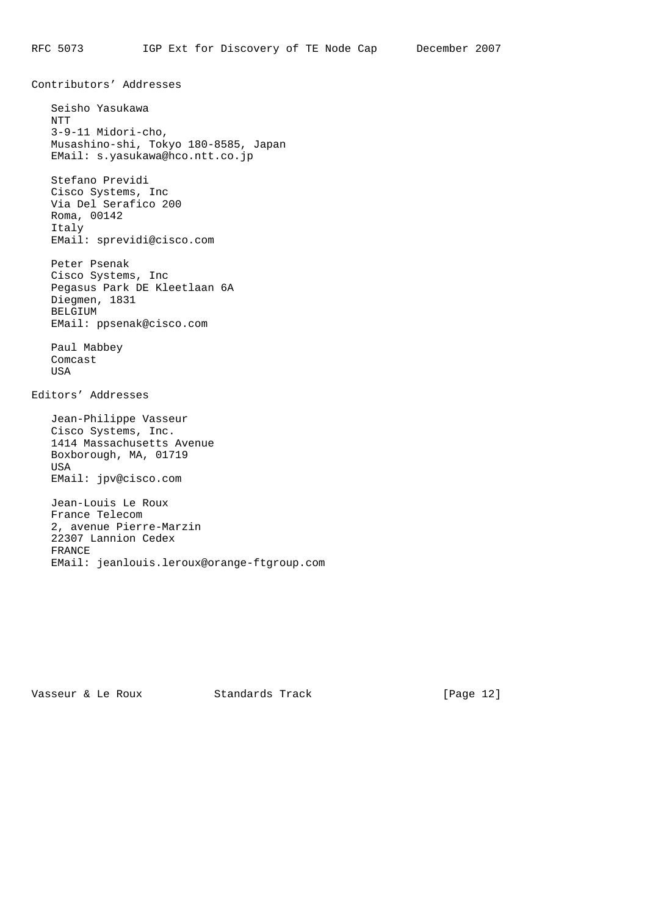Seisho Yasukawa NTT 3-9-11 Midori-cho, Musashino-shi, Tokyo 180-8585, Japan EMail: s.yasukawa@hco.ntt.co.jp

 Stefano Previdi Cisco Systems, Inc Via Del Serafico 200 Roma, 00142 Italy EMail: sprevidi@cisco.com

Contributors' Addresses

 Peter Psenak Cisco Systems, Inc Pegasus Park DE Kleetlaan 6A Diegmen, 1831 BELGIUM EMail: ppsenak@cisco.com

 Paul Mabbey Comcast USA

Editors' Addresses

 Jean-Philippe Vasseur Cisco Systems, Inc. 1414 Massachusetts Avenue Boxborough, MA, 01719 USA EMail: jpv@cisco.com

 Jean-Louis Le Roux France Telecom 2, avenue Pierre-Marzin 22307 Lannion Cedex FRANCE EMail: jeanlouis.leroux@orange-ftgroup.com

Vasseur & Le Roux Standards Track [Page 12]